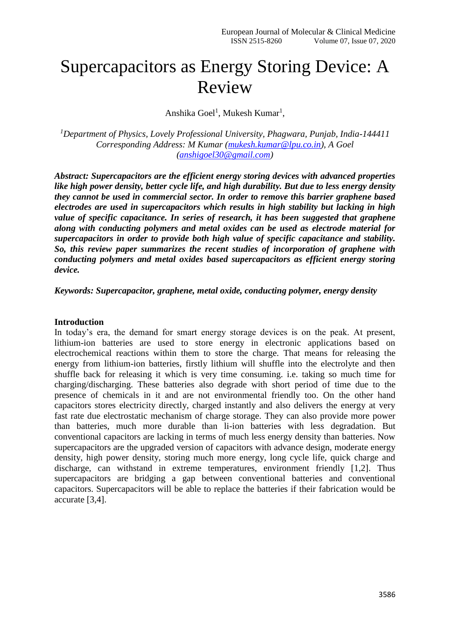# Supercapacitors as Energy Storing Device: A Review

Anshika Goel<sup>1</sup>, Mukesh Kumar<sup>1</sup>,

*<sup>1</sup>Department of Physics, Lovely Professional University, Phagwara, Punjab, India-144411 Corresponding Address: M Kumar [\(mukesh.kumar@lpu.co.in\)](mailto:mukesh.kumar@lpu.co.in), A Goel [\(anshigoel30@gmail.com\)](mailto:anshigoel30@gmail.com)*

*Abstract: Supercapacitors are the efficient energy storing devices with advanced properties like high power density, better cycle life, and high durability. But due to less energy density they cannot be used in commercial sector. In order to remove this barrier graphene based electrodes are used in supercapacitors which results in high stability but lacking in high value of specific capacitance. In series of research, it has been suggested that graphene along with conducting polymers and metal oxides can be used as electrode material for supercapacitors in order to provide both high value of specific capacitance and stability. So, this review paper summarizes the recent studies of incorporation of graphene with conducting polymers and metal oxides based supercapacitors as efficient energy storing device.*

*Keywords: Supercapacitor, graphene, metal oxide, conducting polymer, energy density*

#### **Introduction**

In today's era, the demand for smart energy storage devices is on the peak. At present, lithium-ion batteries are used to store energy in electronic applications based on electrochemical reactions within them to store the charge. That means for releasing the energy from lithium-ion batteries, firstly lithium will shuffle into the electrolyte and then shuffle back for releasing it which is very time consuming. i.e. taking so much time for charging/discharging. These batteries also degrade with short period of time due to the presence of chemicals in it and are not environmental friendly too. On the other hand capacitors stores electricity directly, charged instantly and also delivers the energy at very fast rate due electrostatic mechanism of charge storage. They can also provide more power than batteries, much more durable than li-ion batteries with less degradation. But conventional capacitors are lacking in terms of much less energy density than batteries. Now supercapacitors are the upgraded version of capacitors with advance design, moderate energy density, high power density, storing much more energy, long cycle life, quick charge and discharge, can withstand in extreme temperatures, environment friendly [1,2]. Thus supercapacitors are bridging a gap between conventional batteries and conventional capacitors. Supercapacitors will be able to replace the batteries if their fabrication would be accurate [3,4].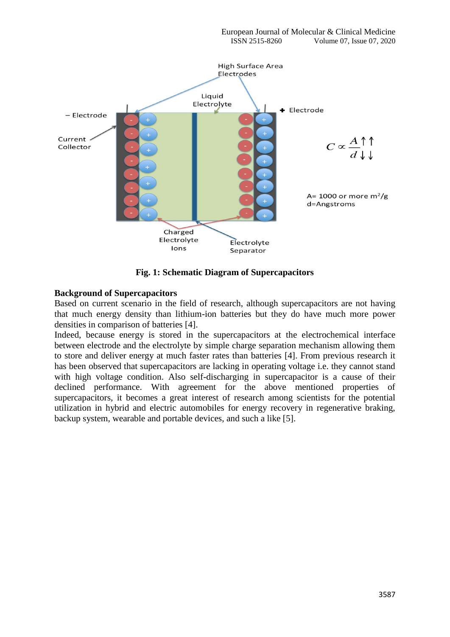

**Fig. 1: Schematic Diagram of Supercapacitors**

## **Background of Supercapacitors**

Based on current scenario in the field of research, although supercapacitors are not having that much energy density than lithium-ion batteries but they do have much more power densities in comparison of batteries [4].

Indeed, because energy is stored in the supercapacitors at the electrochemical interface between electrode and the electrolyte by simple charge separation mechanism allowing them to store and deliver energy at much faster rates than batteries [4]. From previous research it has been observed that supercapacitors are lacking in operating voltage i.e. they cannot stand with high voltage condition. Also self-discharging in supercapacitor is a cause of their declined performance. With agreement for the above mentioned properties of supercapacitors, it becomes a great interest of research among scientists for the potential utilization in hybrid and electric automobiles for energy recovery in regenerative braking, backup system, wearable and portable devices, and such a like [5].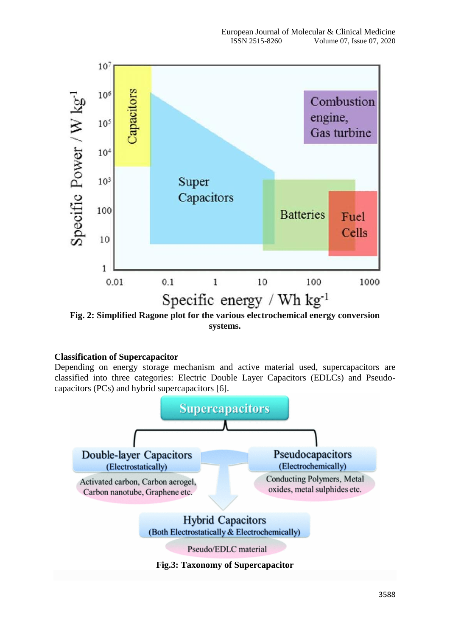

**Fig. 2: Simplified Ragone plot for the various electrochemical energy conversion systems.**

# **Classification of Supercapacitor**

Depending on energy storage mechanism and active material used, supercapacitors are classified into three categories: Electric Double Layer Capacitors (EDLCs) and Pseudocapacitors (PCs) and hybrid supercapacitors [6].

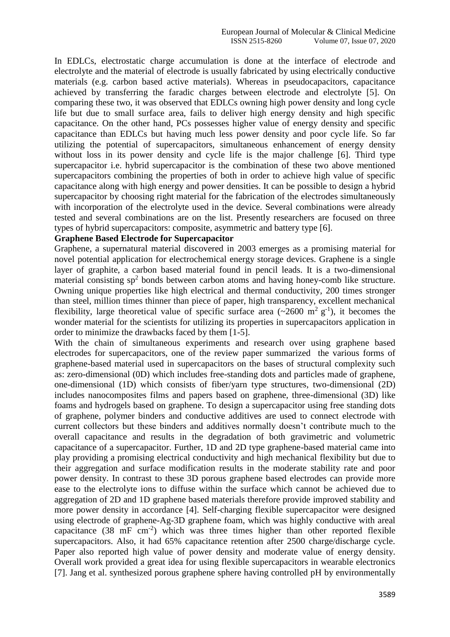In EDLCs, electrostatic charge accumulation is done at the interface of electrode and electrolyte and the material of electrode is usually fabricated by using electrically conductive materials (e.g. carbon based active materials). Whereas in pseudocapacitors, capacitance achieved by transferring the faradic charges between electrode and electrolyte [5]. On comparing these two, it was observed that EDLCs owning high power density and long cycle life but due to small surface area, fails to deliver high energy density and high specific capacitance. On the other hand, PCs possesses higher value of energy density and specific capacitance than EDLCs but having much less power density and poor cycle life. So far utilizing the potential of supercapacitors, simultaneous enhancement of energy density without loss in its power density and cycle life is the major challenge [6]. Third type supercapacitor i.e. hybrid supercapacitor is the combination of these two above mentioned supercapacitors combining the properties of both in order to achieve high value of specific capacitance along with high energy and power densities. It can be possible to design a hybrid supercapacitor by choosing right material for the fabrication of the electrodes simultaneously with incorporation of the electrolyte used in the device. Several combinations were already tested and several combinations are on the list. Presently researchers are focused on three types of hybrid supercapacitors: composite, asymmetric and battery type [6].

#### **Graphene Based Electrode for Supercapacitor**

Graphene, a supernatural material discovered in 2003 emerges as a promising material for novel potential application for electrochemical energy storage devices. Graphene is a single layer of graphite, a carbon based material found in pencil leads. It is a two-dimensional material consisting  $sp<sup>2</sup>$  bonds between carbon atoms and having honey-comb like structure. Owning unique properties like high electrical and thermal conductivity, 200 times stronger than steel, million times thinner than piece of paper, high transparency, excellent mechanical flexibility, large theoretical value of specific surface area ( $\sim$ 2600 m<sup>2</sup> g<sup>-1</sup>), it becomes the wonder material for the scientists for utilizing its properties in supercapacitors application in order to minimize the drawbacks faced by them [1-5].

With the chain of simultaneous experiments and research over using graphene based electrodes for supercapacitors, one of the review paper summarized the various forms of graphene-based material used in supercapacitors on the bases of structural complexity such as: zero-dimensional (0D) which includes free-standing dots and particles made of graphene, one-dimensional (1D) which consists of fiber/yarn type structures, two-dimensional (2D) includes nanocomposites films and papers based on graphene, three-dimensional (3D) like foams and hydrogels based on graphene. To design a supercapacitor using free standing dots of graphene, polymer binders and conductive additives are used to connect electrode with current collectors but these binders and additives normally doesn't contribute much to the overall capacitance and results in the degradation of both gravimetric and volumetric capacitance of a supercapacitor. Further, 1D and 2D type graphene-based material came into play providing a promising electrical conductivity and high mechanical flexibility but due to their aggregation and surface modification results in the moderate stability rate and poor power density. In contrast to these 3D porous graphene based electrodes can provide more ease to the electrolyte ions to diffuse within the surface which cannot be achieved due to aggregation of 2D and 1D graphene based materials therefore provide improved stability and more power density in accordance [4]. Self-charging flexible supercapacitor were designed using electrode of graphene-Ag-3D graphene foam, which was highly conductive with areal capacitance  $(38 \text{ mF cm}^{-2})$  which was three times higher than other reported flexible supercapacitors. Also, it had 65% capacitance retention after 2500 charge/discharge cycle. Paper also reported high value of power density and moderate value of energy density. Overall work provided a great idea for using flexible supercapacitors in wearable electronics [7]. Jang et al. synthesized porous graphene sphere having controlled pH by environmentally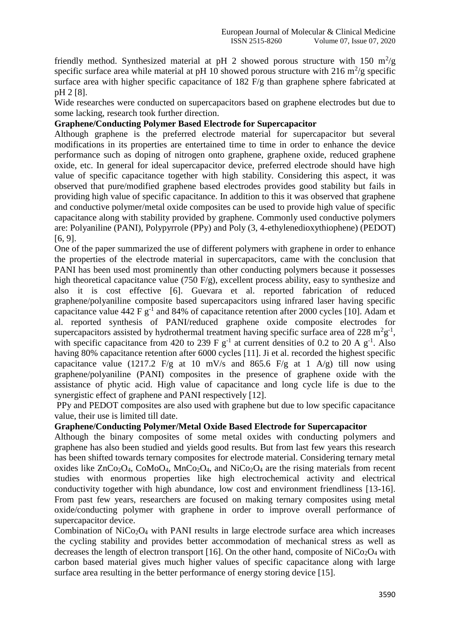friendly method. Synthesized material at pH 2 showed porous structure with 150  $m^2/g$ specific surface area while material at pH 10 showed porous structure with 216  $\text{m}^2/\text{g}$  specific surface area with higher specific capacitance of 182 F/g than graphene sphere fabricated at pH 2 [8].

Wide researches were conducted on supercapacitors based on graphene electrodes but due to some lacking, research took further direction.

## **Graphene/Conducting Polymer Based Electrode for Supercapacitor**

Although graphene is the preferred electrode material for supercapacitor but several modifications in its properties are entertained time to time in order to enhance the device performance such as doping of nitrogen onto graphene, graphene oxide, reduced graphene oxide, etc. In general for ideal supercapacitor device, preferred electrode should have high value of specific capacitance together with high stability. Considering this aspect, it was observed that pure/modified graphene based electrodes provides good stability but fails in providing high value of specific capacitance. In addition to this it was observed that graphene and conductive polymer/metal oxide composites can be used to provide high value of specific capacitance along with stability provided by graphene. Commonly used conductive polymers are: Polyaniline (PANI), Polypyrrole (PPy) and Poly (3, 4-ethylenedioxythiophene) (PEDOT) [6, 9].

One of the paper summarized the use of different polymers with graphene in order to enhance the properties of the electrode material in supercapacitors, came with the conclusion that PANI has been used most prominently than other conducting polymers because it possesses high theoretical capacitance value (750 F/g), excellent process ability, easy to synthesize and also it is cost effective [6]. Guevara et al. reported fabrication of reduced graphene/polyaniline composite based supercapacitors using infrared laser having specific capacitance value 442 F  $g^{-1}$  and 84% of capacitance retention after 2000 cycles [10]. Adam et al. reported synthesis of PANI/reduced graphene oxide composite electrodes for supercapacitors assisted by hydrothermal treatment having specific surface area of 228  $m^2g^{-1}$ , with specific capacitance from 420 to 239 F  $g^{-1}$  at current densities of 0.2 to 20 A  $g^{-1}$ . Also having 80% capacitance retention after 6000 cycles [11]. Ji et al. recorded the highest specific capacitance value (1217.2 F/g at 10 mV/s and 865.6 F/g at 1 A/g) till now using graphene/polyaniline (PANI) composites in the presence of graphene oxide with the assistance of phytic acid. High value of capacitance and long cycle life is due to the synergistic effect of graphene and PANI respectively [12].

PPy and PEDOT composites are also used with graphene but due to low specific capacitance value, their use is limited till date.

## **Graphene/Conducting Polymer/Metal Oxide Based Electrode for Supercapacitor**

Although the binary composites of some metal oxides with conducting polymers and graphene has also been studied and yields good results. But from last few years this research has been shifted towards ternary composites for electrode material. Considering ternary metal oxides like  $ZnCo<sub>2</sub>O<sub>4</sub>$ ,  $CoMoO<sub>4</sub>$ ,  $MnCo<sub>2</sub>O<sub>4</sub>$ , and  $NiCo<sub>2</sub>O<sub>4</sub>$  are the rising materials from recent studies with enormous properties like high electrochemical activity and electrical conductivity together with high abundance, low cost and environment friendliness [13-16]. From past few years, researchers are focused on making ternary composites using metal oxide/conducting polymer with graphene in order to improve overall performance of supercapacitor device.

Combination of  $NiCo<sub>2</sub>O<sub>4</sub>$  with PANI results in large electrode surface area which increases the cycling stability and provides better accommodation of mechanical stress as well as decreases the length of electron transport [16]. On the other hand, composite of  $NiCo<sub>2</sub>O<sub>4</sub>$  with carbon based material gives much higher values of specific capacitance along with large surface area resulting in the better performance of energy storing device [15].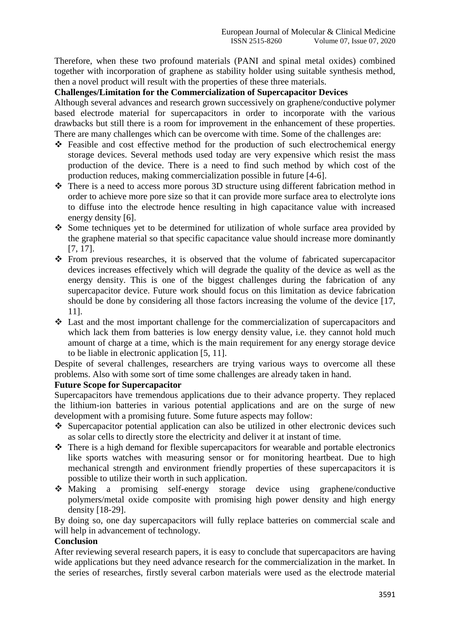Therefore, when these two profound materials (PANI and spinal metal oxides) combined together with incorporation of graphene as stability holder using suitable synthesis method, then a novel product will result with the properties of these three materials.

#### **Challenges/Limitation for the Commercialization of Supercapacitor Devices**

Although several advances and research grown successively on graphene/conductive polymer based electrode material for supercapacitors in order to incorporate with the various drawbacks but still there is a room for improvement in the enhancement of these properties. There are many challenges which can be overcome with time. Some of the challenges are:

- Feasible and cost effective method for the production of such electrochemical energy storage devices. Several methods used today are very expensive which resist the mass production of the device. There is a need to find such method by which cost of the production reduces, making commercialization possible in future [4-6].
- There is a need to access more porous 3D structure using different fabrication method in order to achieve more pore size so that it can provide more surface area to electrolyte ions to diffuse into the electrode hence resulting in high capacitance value with increased energy density [6].
- Some techniques yet to be determined for utilization of whole surface area provided by the graphene material so that specific capacitance value should increase more dominantly [7, 17].
- From previous researches, it is observed that the volume of fabricated supercapacitor devices increases effectively which will degrade the quality of the device as well as the energy density. This is one of the biggest challenges during the fabrication of any supercapacitor device. Future work should focus on this limitation as device fabrication should be done by considering all those factors increasing the volume of the device [17, 11].
- Last and the most important challenge for the commercialization of supercapacitors and which lack them from batteries is low energy density value, i.e. they cannot hold much amount of charge at a time, which is the main requirement for any energy storage device to be liable in electronic application [5, 11].

Despite of several challenges, researchers are trying various ways to overcome all these problems. Also with some sort of time some challenges are already taken in hand.

#### **Future Scope for Supercapacitor**

Supercapacitors have tremendous applications due to their advance property. They replaced the lithium-ion batteries in various potential applications and are on the surge of new development with a promising future. Some future aspects may follow:

- Supercapacitor potential application can also be utilized in other electronic devices such as solar cells to directly store the electricity and deliver it at instant of time.
- $\triangle$  There is a high demand for flexible supercapacitors for wearable and portable electronics like sports watches with measuring sensor or for monitoring heartbeat. Due to high mechanical strength and environment friendly properties of these supercapacitors it is possible to utilize their worth in such application.
- Making a promising self-energy storage device using graphene/conductive polymers/metal oxide composite with promising high power density and high energy density [18-29].

By doing so, one day supercapacitors will fully replace batteries on commercial scale and will help in advancement of technology.

# **Conclusion**

After reviewing several research papers, it is easy to conclude that supercapacitors are having wide applications but they need advance research for the commercialization in the market. In the series of researches, firstly several carbon materials were used as the electrode material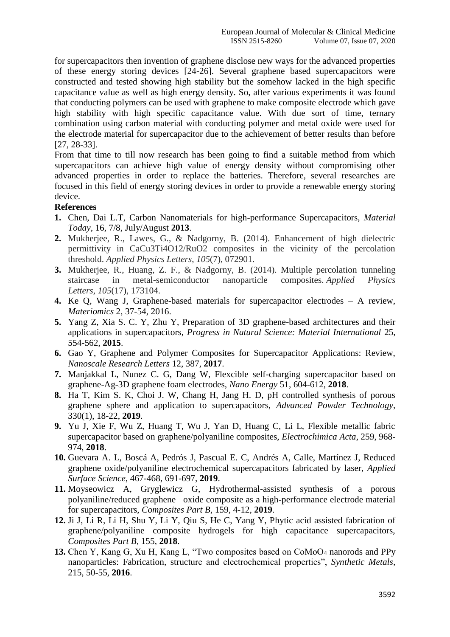for supercapacitors then invention of graphene disclose new ways for the advanced properties of these energy storing devices [24-26]. Several graphene based supercapacitors were constructed and tested showing high stability but the somehow lacked in the high specific capacitance value as well as high energy density. So, after various experiments it was found that conducting polymers can be used with graphene to make composite electrode which gave high stability with high specific capacitance value. With due sort of time, ternary combination using carbon material with conducting polymer and metal oxide were used for the electrode material for supercapacitor due to the achievement of better results than before [27, 28-33].

From that time to till now research has been going to find a suitable method from which supercapacitors can achieve high value of energy density without compromising other advanced properties in order to replace the batteries. Therefore, several researches are focused in this field of energy storing devices in order to provide a renewable energy storing device.

#### **References**

- **1.** Chen, Dai L.T, Carbon Nanomaterials for high-performance Supercapacitors, *Material Today*, 16, 7/8, July/August **2013**.
- **2.** Mukherjee, R., Lawes, G., & Nadgorny, B. (2014). Enhancement of high dielectric permittivity in CaCu3Ti4O12/RuO2 composites in the vicinity of the percolation threshold. *Applied Physics Letters*, *105*(7), 072901.
- **3.** Mukherjee, R., Huang, Z. F., & Nadgorny, B. (2014). Multiple percolation tunneling staircase in metal-semiconductor nanoparticle composites. *Applied Physics Letters*, *105*(17), 173104.
- **4.** Ke Q, Wang J, Graphene-based materials for supercapacitor electrodes A review, *Materiomics* 2, 37-54, 2016.
- **5.** Yang Z, Xia S. C. Y, Zhu Y, Preparation of 3D graphene-based architectures and their applications in supercapacitors, *Progress in Natural Science: Material International* 25, 554-562, **2015**.
- **6.** Gao Y, Graphene and Polymer Composites for Supercapacitor Applications: Review, *Nanoscale Research Letters* 12, 387, **2017**.
- **7.** Manjakkal L, Nunez C. G, Dang W, Flexcible self-charging supercapacitor based on graphene-Ag-3D graphene foam electrodes, *Nano Energy* 51, 604-612, **2018**.
- **8.** Ha T, Kim S. K, Choi J. W, Chang H, Jang H. D, pH controlled synthesis of porous graphene sphere and application to supercapacitors, *Advanced Powder Technology*, 330(1), 18-22, **2019**.
- **9.** Yu J, Xie F, Wu Z, Huang T, Wu J, Yan D, Huang C, Li L, Flexible metallic fabric supercapacitor based on graphene/polyaniline composites, *Electrochimica Acta*, 259, 968- 974, **2018**.
- **10.** Guevara A. L, Boscá A, Pedrós J, Pascual E. C, Andrés A, Calle, Martínez J, Reduced graphene oxide/polyaniline electrochemical supercapacitors fabricated by laser, *Applied Surface Science*, 467-468, 691-697, **2019**.
- **11.** Moyseowicz A, Gryglewicz G, Hydrothermal-assisted synthesis of a porous polyaniline/reduced graphene oxide composite as a high-performance electrode material for supercapacitors, *Composites Part B*, 159, 4-12, **2019**.
- **12.** Ji J, Li R, Li H, Shu Y, Li Y, Qiu S, He C, Yang Y, Phytic acid assisted fabrication of graphene/polyaniline composite hydrogels for high capacitance supercapacitors, *Composites Part B*, 155, **2018**.
- **13.** Chen Y, Kang G, Xu H, Kang L, "Two composites based on CoMoO<sup>4</sup> nanorods and PPy nanoparticles: Fabrication, structure and electrochemical properties", *Synthetic Metals,*  215, 50-55, **2016**.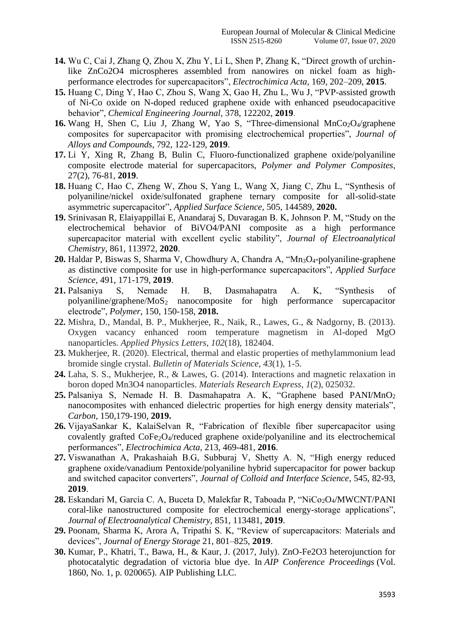- **14.** Wu C, Cai J, Zhang Q, Zhou X, Zhu Y, Li L, Shen P, Zhang K, "Direct growth of urchinlike ZnCo2O4 microspheres assembled from nanowires on nickel foam as highperformance electrodes for supercapacitors", *Electrochimica Acta,* 169, 202–209, **2015**.
- **15.** Huang C, Ding Y, Hao C, Zhou S, Wang X, Gao H, Zhu L, Wu J, "PVP-assisted growth of Ni-Co oxide on N-doped reduced graphene oxide with enhanced pseudocapacitive behavior", *Chemical Engineering Journal,* 378, 122202, **2019**.
- **16.** Wang H, Shen C, Liu J, Zhang W, Yao S, "Three-dimensional MnCo<sub>2</sub>O<sub>4</sub>/graphene composites for supercapacitor with promising electrochemical properties", *Journal of Alloys and Compounds,* 792, 122-129, **2019**.
- **17.** Li Y, Xing R, Zhang B, Bulin C, Fluoro-functionalized graphene oxide/polyaniline composite electrode material for supercapacitors, *Polymer and Polymer Composites*, 27(2), 76-81, **2019**.
- **18.** Huang C, Hao C, Zheng W, Zhou S, Yang L, Wang X, Jiang C, Zhu L, "Synthesis of polyaniline/nickel oxide/sulfonated graphene ternary composite for all-solid-state asymmetric supercapacitor", *Applied Surface Science,* 505, 144589, **2020.**
- **19.** Srinivasan R, Elaiyappillai E, Anandaraj S, Duvaragan B. K, Johnson P. M, "Study on the electrochemical behavior of BiVO4/PANI composite as a high performance supercapacitor material with excellent cyclic stability", *Journal of Electroanalytical Chemistry,* 861, 113972, **2020**.
- 20. Haldar P, Biswas S, Sharma V, Chowdhury A, Chandra A, "Mn<sub>3</sub>O<sub>4</sub>-polyaniline-graphene as distinctive composite for use in high-performance supercapacitors", *Applied Surface Science,* 491, 171-179, **2019**.
- **21.** Palsaniya S, Nemade H. B, Dasmahapatra A. K, "Synthesis of polyaniline/graphene/MoS<sup>2</sup> nanocomposite for high performance supercapacitor electrode", *Polymer,* 150, 150-158, **2018.**
- **22.** Mishra, D., Mandal, B. P., Mukherjee, R., Naik, R., Lawes, G., & Nadgorny, B. (2013). Oxygen vacancy enhanced room temperature magnetism in Al-doped MgO nanoparticles. *Applied Physics Letters*, *102*(18), 182404.
- **23.** Mukherjee, R. (2020). Electrical, thermal and elastic properties of methylammonium lead bromide single crystal. *Bulletin of Materials Science*, *43*(1), 1-5.
- **24.** Laha, S. S., Mukherjee, R., & Lawes, G. (2014). Interactions and magnetic relaxation in boron doped Mn3O4 nanoparticles. *Materials Research Express*, *1*(2), 025032.
- **25.** Palsaniya S, Nemade H. B. Dasmahapatra A. K, "Graphene based PANI/MnO<sup>2</sup> nanocomposites with enhanced dielectric properties for high energy density materials", *Carbon,* 150,179-190, **2019.**
- **26.** VijayaSankar K, KalaiSelvan R, "Fabrication of flexible fiber supercapacitor using covalently grafted CoFe2O4/reduced graphene oxide/polyaniline and its electrochemical performances", *Electrochimica Acta,* 213, 469-481, **2016**.
- **27.** Viswanathan A, Prakashaiah B.G, Subburaj V, Shetty A. N, "High energy reduced graphene oxide/vanadium Pentoxide/polyaniline hybrid supercapacitor for power backup and switched capacitor converters", *Journal of Colloid and Interface Science*, 545, 82-93, **2019**.
- 28. Eskandari M, García C. A, Buceta D, Malekfar R, Taboada P, "NiCo<sub>2</sub>O<sub>4</sub>/MWCNT/PANI coral-like nanostructured composite for electrochemical energy-storage applications", *Journal of Electroanalytical Chemistry,* 851, 113481, **2019**.
- **29.** Poonam, Sharma K, Arora A, Tripathi S. K, "Review of supercapacitors: Materials and devices", *Journal of Energy Storage* 21, 801–825, **2019**.
- **30.** Kumar, P., Khatri, T., Bawa, H., & Kaur, J. (2017, July). ZnO-Fe2O3 heterojunction for photocatalytic degradation of victoria blue dye. In *AIP Conference Proceedings* (Vol. 1860, No. 1, p. 020065). AIP Publishing LLC.